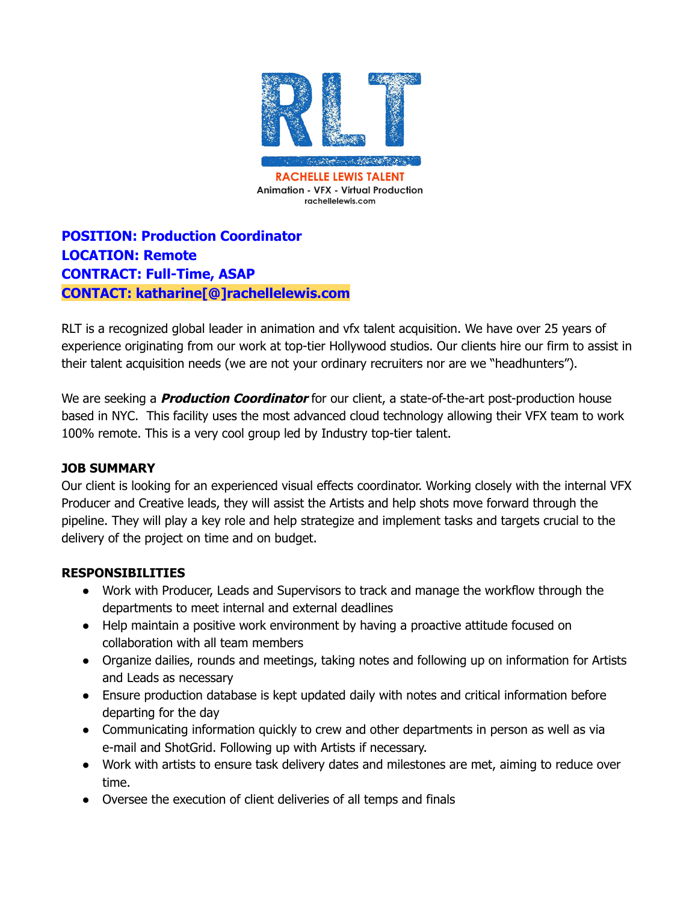

**POSITION: Production Coordinator LOCATION: Remote CONTRACT: Full-Time, ASAP CONTACT: katharine[@]rachellelewis.com**

RLT is a recognized global leader in animation and vfx talent acquisition. We have over 25 years of experience originating from our work at top-tier Hollywood studios. Our clients hire our firm to assist in their talent acquisition needs (we are not your ordinary recruiters nor are we "headhunters").

We are seeking a **Production Coordinator** for our client, a state-of-the-art post-production house based in NYC. This facility uses the most advanced cloud technology allowing their VFX team to work 100% remote. This is a very cool group led by Industry top-tier talent.

## **JOB SUMMARY**

Our client is looking for an experienced visual effects coordinator. Working closely with the internal VFX Producer and Creative leads, they will assist the Artists and help shots move forward through the pipeline. They will play a key role and help strategize and implement tasks and targets crucial to the delivery of the project on time and on budget.

## **RESPONSIBILITIES**

- Work with Producer, Leads and Supervisors to track and manage the workflow through the departments to meet internal and external deadlines
- Help maintain a positive work environment by having a proactive attitude focused on collaboration with all team members
- Organize dailies, rounds and meetings, taking notes and following up on information for Artists and Leads as necessary
- Ensure production database is kept updated daily with notes and critical information before departing for the day
- Communicating information quickly to crew and other departments in person as well as via e-mail and ShotGrid. Following up with Artists if necessary.
- Work with artists to ensure task delivery dates and milestones are met, aiming to reduce over time.
- Oversee the execution of client deliveries of all temps and finals